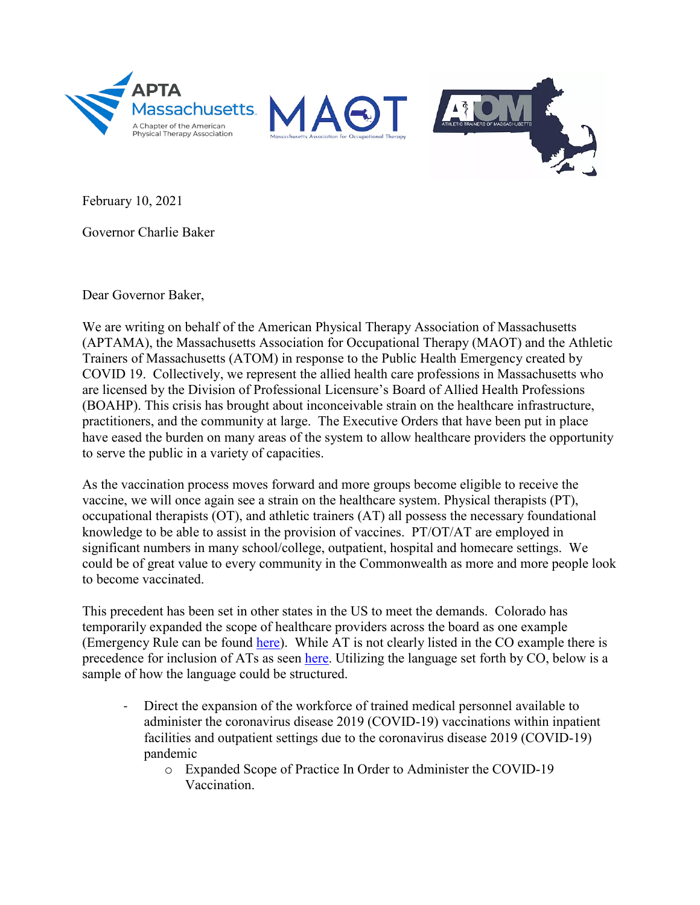

February 10, 2021

Governor Charlie Baker

Dear Governor Baker,

We are writing on behalf of the American Physical Therapy Association of Massachusetts (APTAMA), the Massachusetts Association for Occupational Therapy (MAOT) and the Athletic Trainers of Massachusetts (ATOM) in response to the Public Health Emergency created by COVID 19. Collectively, we represent the allied health care professions in Massachusetts who are licensed by the Division of Professional Licensure's Board of Allied Health Professions (BOAHP). This crisis has brought about inconceivable strain on the healthcare infrastructure, practitioners, and the community at large. The Executive Orders that have been put in place have eased the burden on many areas of the system to allow healthcare providers the opportunity to serve the public in a variety of capacities.

As the vaccination process moves forward and more groups become eligible to receive the vaccine, we will once again see a strain on the healthcare system. Physical therapists (PT), occupational therapists (OT), and athletic trainers (AT) all possess the necessary foundational knowledge to be able to assist in the provision of vaccines. PT/OT/AT are employed in significant numbers in many school/college, outpatient, hospital and homecare settings. We could be of great value to every community in the Commonwealth as more and more people look to become vaccinated.

This precedent has been set in other states in the US to meet the demands. Colorado has temporarily expanded the scope of healthcare providers across the board as one example (Emergency Rule can be found [here\)](https://content.govdelivery.com/accounts/CODORA/bulletins/2b691cd). While AT is not clearly listed in the CO example there is precedence for inclusion of ATs as seen [here.](https://www.nata.org/blog/claire-higgins/some-frontline-ats-now-equipped-vaccinate) Utilizing the language set forth by CO, below is a sample of how the language could be structured.

- Direct the expansion of the workforce of trained medical personnel available to administer the coronavirus disease 2019 (COVID-19) vaccinations within inpatient facilities and outpatient settings due to the coronavirus disease 2019 (COVID-19) pandemic
	- o Expanded Scope of Practice In Order to Administer the COVID-19 Vaccination.